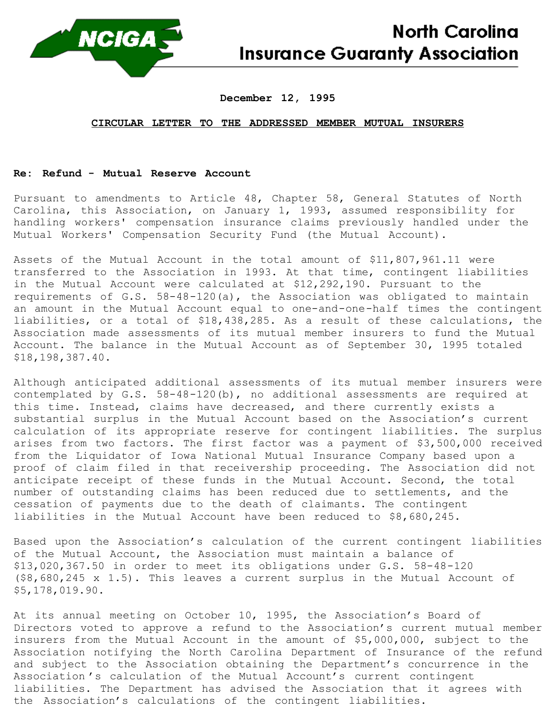

## **North Carolina Insurance Guaranty Association**

## **December 12, 1995**

## **CIRCULAR LETTER TO THE ADDRESSED MEMBER MUTUAL INSURERS**

## **Re: Refund - Mutual Reserve Account**

Pursuant to amendments to Article 48, Chapter 58, General Statutes of North Carolina, this Association, on January 1, 1993, assumed responsibility for handling workers' compensation insurance claims previously handled under the Mutual Workers' Compensation Security Fund (the Mutual Account).

Assets of the Mutual Account in the total amount of \$11,807,961.11 were transferred to the Association in 1993. At that time, contingent liabilities in the Mutual Account were calculated at \$12,292,190. Pursuant to the requirements of G.S. 58-48-120(a), the Association was obligated to maintain an amount in the Mutual Account equal to one-and-one-half times the contingent liabilities, or a total of \$18,438,285. As a result of these calculations, the Association made assessments of its mutual member insurers to fund the Mutual Account. The balance in the Mutual Account as of September 30, 1995 totaled \$18,198,387.40.

Although anticipated additional assessments of its mutual member insurers were contemplated by G.S. 58-48-120(b), no additional assessments are required at this time. Instead, claims have decreased, and there currently exists a substantial surplus in the Mutual Account based on the Association's current calculation of its appropriate reserve for contingent liabilities. The surplus arises from two factors. The first factor was a payment of \$3,500,000 received from the Liquidator of Iowa National Mutual Insurance Company based upon a proof of claim filed in that receivership proceeding. The Association did not anticipate receipt of these funds in the Mutual Account. Second, the total number of outstanding claims has been reduced due to settlements, and the cessation of payments due to the death of claimants. The contingent liabilities in the Mutual Account have been reduced to \$8,680,245.

Based upon the Association's calculation of the current contingent liabilities of the Mutual Account, the Association must maintain a balance of \$13,020,367.50 in order to meet its obligations under G.S. 58-48-120 (\$8,680,245 x 1.5). This leaves a current surplus in the Mutual Account of \$5,178,019.90.

At its annual meeting on October 10, 1995, the Association's Board of Directors voted to approve a refund to the Association's current mutual member insurers from the Mutual Account in the amount of \$5,000,000, subject to the Association notifying the North Carolina Department of Insurance of the refund and subject to the Association obtaining the Department's concurrence in the Association 's calculation of the Mutual Account's current contingent liabilities. The Department has advised the Association that it agrees with the Association's calculations of the contingent liabilities.